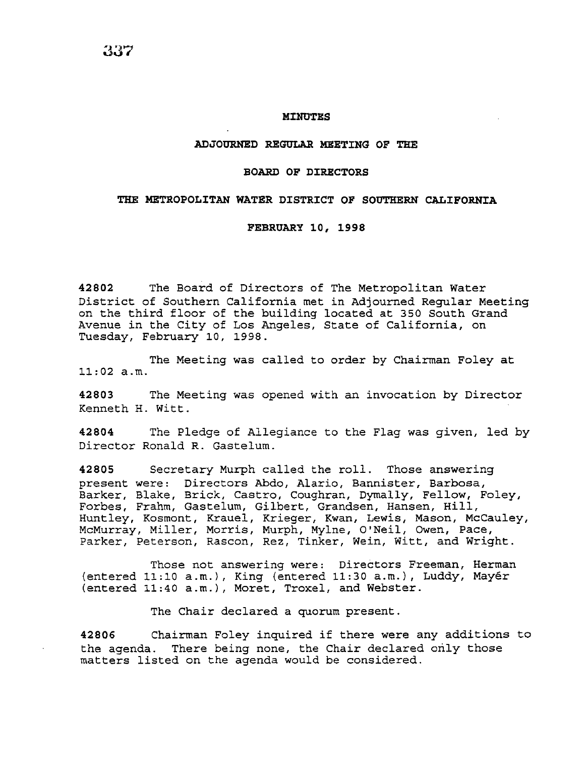### **MINUTES**

#### **ADJOURNED REGULAR MEETING OF THE**

# **BOARD OF DIRECTORS**

# **THE METROPOLITAN WATER DISTRICT OF SOUTHERN CALIFORNIA**

#### **FEBRUARY 10, 1998**

**42802** The Board of Directors of The Metropolitan Water District of Southern California met *in* Adjourned Regular Meeting on the third floor of the building located at 350 South Grand Avenue *in* the City of Los Angeles, State of California, on Tuesday, February 10, 1998.

The Meeting was called to order by Chairman Foley at 11:02 a.m.

**42803** The Meeting was opened with an invocation by Director Kenneth H. Witt.

**42804** The Pledge of Allegiance to the Flag was given, led by Director Ronald R. Gastelum.

**42805** Secretary Murph called the roll. Those answering present were: Directors Abdo, Alario, Bannister, Barbosa, Barker, Blake, Brick, Castro, Coughran, Dymally, Fellow, Foley, Forbes, Frahm, Gastelum, Gilbert, Grandsen, Hansen, Hill, Huntley, Kosmont, Krauel, Krieger, Kwan, Lewis, Mason, McCauley, McMurray, Miller, Morris, Murph, Mylne, O'Neil, Owen, Pace, Parker, Peterson, Rascon, Rez, Tinker, Wein, Witt, and Wright.

Those not answering were: Directors Freeman, Herman (entered 11:10 a.m.), King (entered 11:30 a.m.), Luddy, Mayer (entered 11:40 a.m.), Moret, Troxel, and Webster.

The Chair declared a quorum present.

**<sup>42806</sup>**Chairman Foley inquired if there were any additions to the agenda. There being none, the Chair declared only those matters listed on the agenda would be considered.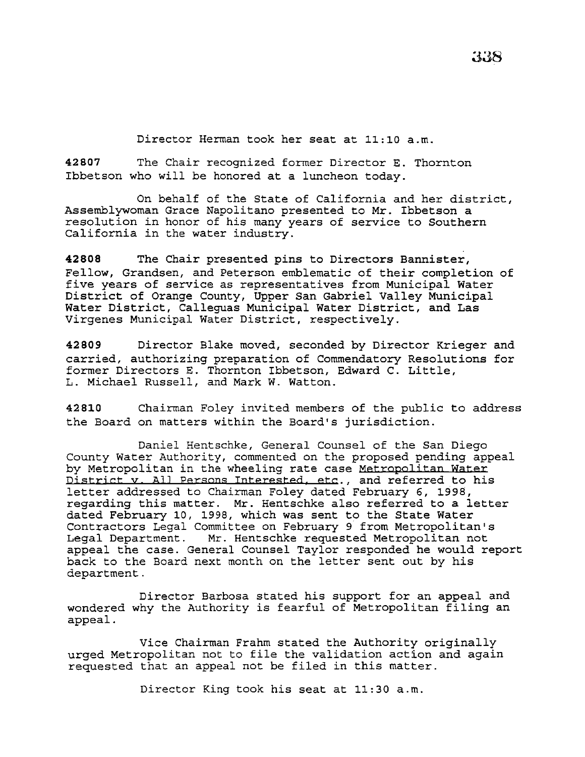Director Herman took her seat at 11:10 a.m.

**42807** The Chair recognized former Director E. Thornton Ibbetson who will be honored at a luncheon today.

On behalf of the State of California and her district, Assemblywoman Grace Napolitano presented to Mr. Ibbetson a resolution in honor of his many years of service to Southern California in the water industry.

**42808** The Chair presented pins to Directors Bannister, Fellow, Grandsen, and Peterson emblematic of their completion of five years of service as representatives from Municipal Water District of Orange County, Upper San Gabriel Valley Municipal Water District, Calleguas Municipal Water District, and Las Virgenes Municipal Water District, respectively.

**42809** Director Blake moved, seconded by Director Krieger and carried, authorizing preparation of Commendatory Resolutions for former Directors E. Thornton Ibbetson, Edward C. Little, L. Michael Russell, and Mark W. Watton.

**42810** Chairman Foley invited members of the public to address the Board on matters within the Board's jurisdiction.

Daniel Hentschke, General Counsel of the San Diego County Water Authority, commented on the proposed pending appeal by Metropolitan in the wheeling rate case Metropolitan Water District v. All Persons Interested, etc., and referred to his letter addressed to Chairman Foley dated February 6, 1998, regarding this matter. Mr. Hentschke also referred to a letter dated February 10, 1998, which was sent to the State Water Contractors Legal Committee on February 9 from Metropolitan's<br>Legal Department. Mr. Hentschke requested Metropolitan not Mr. Hentschke requested Metropolitan not appeal the case. General Counsel Taylor responded he would report back to the Board next month on the letter sent out by his department.

Director Barbosa stated his support for an appeal and wondered why the Authority is fearful of Metropolitan filing an appeal.

Vice Chairman Frahm stated the Authority originally urged Metropolitan not to file the validation action and again requested that an appeal not be filed in this matter.

Director King took his seat at 11:30 a.m.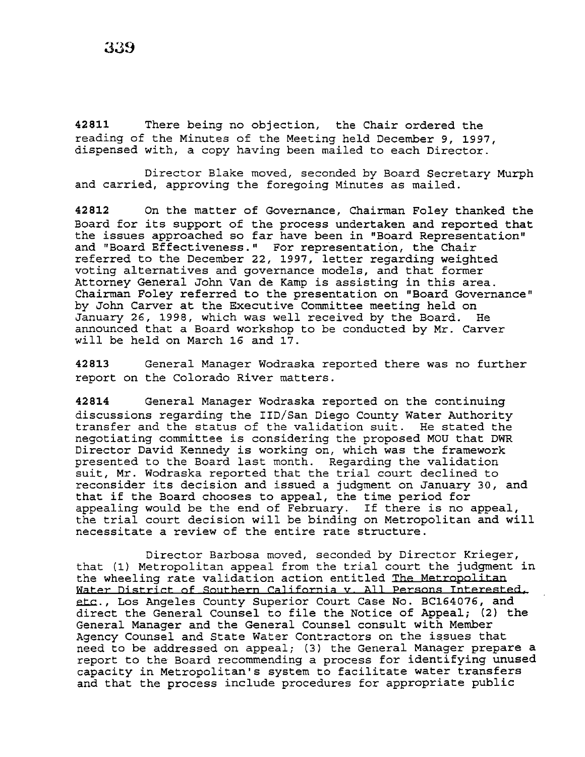**42811** There being no objection, the Chair ordered the reading of the Minutes of the Meeting held December 9, 1997, dispensed with, a copy having been mailed to each Director.

Director Blake moved, seconded by Board Secretary Murph and carried, approving the foregoing Minutes as mailed.

**42812** On the matter of Governance, Chairman Foley thanked the Board for its support of the process undertaken and reported that the issues approached so far have been in "Board Representation" and "Board Effectiveness." For representation, the Chair referred to the December 22, 1997, letter regarding weighted voting alternatives and governance models, and that former Attorney General John Van de Kamp is assisting in this area. Chairman Foley referred to the presentation on "Board Governance" by John Carver at the Executive Committee meeting held on January 26, 1998, which was well received by the Board. He announced that a Board workshop to be conducted by Mr. Carver will be held on March 16 and 17.

**42813** General Manager Wodraska reported there was no further report on the Colorado River matters.

**42814** General Manager Wodraska reported on the continuing discussions regarding the IID/San Diego County Water Authority transfer and the status of the validation suit. He stated the negotiating committee is considering the proposed MOU that DWR Director David Kennedy is working on, which was the framework presented to the Board last month. Regarding the validation suit, Mr. Wodraska reported that the trial court declined to reconsider its decision and issued a judgment on January 30, and that if the Board chooses to appeal, the time period for appealing would be the end of February. If there is no appeal, the trial court decision will be binding on Metropolitan and will necessitate a review of the entire rate structure.

Director Barbosa moved, seconded by Director Krieger, that (1) Metropolitan appeal from the trial court the judgment in the wheeling rate validation action entitled The Metropolitan Water District of Southern California v. All Persons Interested. etc., Los Angeles County Superior Court Case No. BC164076, and direct the General Counsel to file the Notice of Appeal; (2) the General Manager and the General Counsel consult with Member Agency Counsel and State Water Contractors on the issues that need to be addressed on appeal; (3) the General Manager prepare a report to the Board recommending a process for identifying unused capacity in Metropolitan's system to facilitate water transfers and that the process include procedures for appropriate public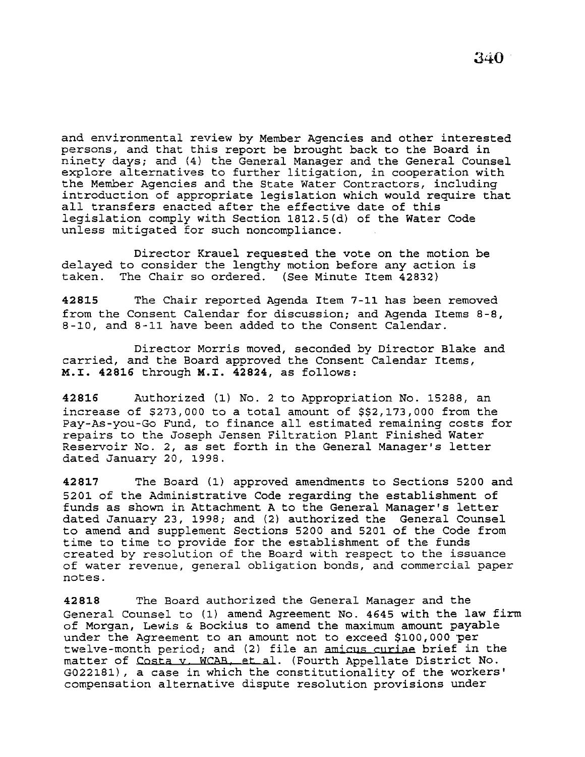and environmental review by Member Agencies and other interested persons, and that this report be brought back to the Board in ninety days; and (4) the General Manager and the General Counsel explore alternatives to further litigation, in cooperation with the Member Agencies and the State Water Contractors, including introduction of appropriate legislation which would require that all transfers enacted after the effective date of this legislation comply with Section 1812.5(d) of the Water Code unless mitigated for such noncompliance.

delayed to consider the lengthy motion before any action is taken. The Chair so ordered. (See Minute Item 42832) Director Krauel requested the vote on the motion be

42815 The Chair reported Agenda Item 7-11 has been removed from the Consent Calendar for discussion; and Agenda Items 8-8, 8-10, and 8-11 have been added to the Consent Calendar.

Director Morris moved, seconded by Director Blake and carried, and the Board approved the Consent Calendar Items, M.I. 42816 through M.I. 42824, as follows:

42816 Authorized (1) No. 2 to Appropriation No. 15288, an increase of \$273,000 to a total amount of \$\$2,173,000 from the Pay-As-you-Go Fund, to finance all estimated remaining costs for repairs to the Joseph Jensen Filtration Plant Finished Water Reservoir No. 2, as set forth *in* the General Manager's letter dated January 20, 1998.

42817 The Board {1) approved amendments to Sections 5200 and 5201 of the Administrative Code regarding the establishment of funds as shown in Attachment A to the General Manager's letter dated January 23, 1998; and (2) authorized the General Counsel to amend and supplement Sections 5200 and 5201 of the Code from time to time to provide for the establishment of the funds created by resolution of the Board with respect to the issuance of water revenue, general obligation bonds, and commercial paper notes.

42818 The Board authorized the General Manager and the General Counsel to (1) amend Agreement No. 4645 with the law firm of Morgan, Lewis & Beckius to amend the maximum amount payable under the Agreement to an amount not to exceed \$100,000 per twelve-month period; and (2) file an amicus curiae brief in the matter of Costa v. WCAB, et al. (Fourth Appellate District No. G022181), a case in which the constitutionality of the workers' compensation alternative dispute resolution provisions under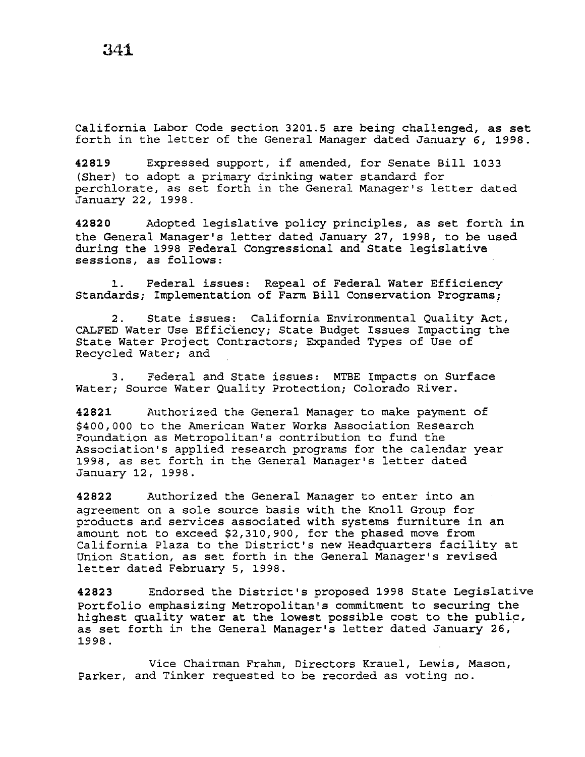California Labor Code section 3201.5 are being challenged, as set forth in the letter of the General Manager dated January 6, 1998.

**<sup>42819</sup>**Expressed support, if amended, for Senate Bill 1033 (Sher) to adopt a primary drinking water standard for perchlorate, as set forth in the General Manager's letter dated January 22, 1998.

**42820** Adopted legislative policy principles, as set forth in the General Manager's letter dated January 27, 1998, to be used during the 1998 Federal Congressional and State legislative sessions, as follows:

1. Federal issues: Repeal of Federal Water Efficiency Standards; Implementation of Farm Bill Conservation Programs;

2. State issues: California Environmental Quality Act, CALFED Water Use Efficiency; State Budget Issues Impacting the State Water Project Contractors; Expanded Types of Use of Recycled Water; and

3. Federal and State issues: MTBE Impacts on Surface Water; Source Water Quality Protection; Colorado River.

**42821** Authorized the General Manager to make payment of \$400,000 to the American Water Works Association Research Foundation as Metropolitan's contribution to fund the Association's applied research programs for the calendar year 1998, as set forth in the General Manager's letter dated January 12, 1998.

**42822** Authorized the General Manager to enter into an agreement on a sole source basis with the Knoll Group for products and services associated with systems furniture in an amount not to exceed \$2,310,900, for the phased move from California Plaza to the District's new Headquarters facility at Union Station, as set forth in the General Manager's revised letter dated February 5, 1998.

**42823** Endorsed the District's proposed 1998 State Legislative Portfolio emphasizing Metropolitan's commitment to securing the highest quality water at the lowest possible cost to the public, as set forth in the General Manager's letter dated January 26, 1998.

Vice Chairman Frahm, Directors Krauel, Lewis, Mason, Parker, and Tinker requested to be recorded as voting no.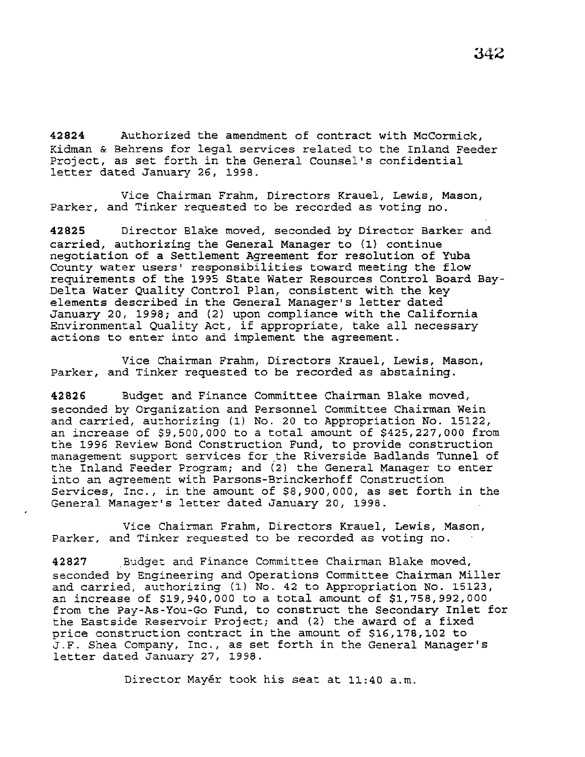42824 Authorized the amendment of contract with McCormick, Kidman & Behrens for legal services related to the Inland Feeder Project, as set forth *in* the General Counsel's confidential letter dated January 26, 1998.

*Vice* Chairman Frahm, Directors Krauel, Lewis, Mason, Parker, and Tinker requested to be recorded as voting no.

42825 Director Blake moved, seconded by Director Barker and carried, authorizing the General Manager to {1) continue negotiation of a Settlement Agreement for resolution of Yuba County water users' responsibilities toward meeting the flow requirements of the 1995 State Water Resources Control Board Bay-Delta Water Quality Control Plan, consistent with the key elements described in the General Manager's letter dated January 20, 1998; and (2) upon compliance with the California Environmental Quality Act, if appropriate, take all necessary actions to enter into and implement the agreement.

*Vice* Chairman Frahm, Directors Krauel, Lewis, Mason, Parker, and Tinker requested to be recorded as abstaining.

42826 Budget and Finance Committee Chairman Blake moved, seconded by Organization and Personnel Committee Chairman Wein and carried, authorizing (1) No. 20 to Appropriation No. 15122, an increase of \$9,500,000 to a total amount of \$425,227,000 from the 1996 Review Bond Construction Fund, to provide construction management support services for the Riverside Badlands Tunnel of the Inland Feeder Program; and (2) the General Manager to enter into an agreement with Parsons-Brinckerhoff Construction Services, Inc., *in* the amount of \$8,900,000, as set forth in the General Manager's letter dated January 20, 1998.

Vice Chairman Frahm, Directors Krauel, Lewis, Mason, Parker, and Tinker requested to be recorded as voting no.

42827 Budget and Finance Committee Chairman Blake moved, seconded by Engineering and Operations Committee Chairman Miller and carried, authorizing (1) No. 42 to Appropriation No. 15123, an increase of \$19,940,000 to a total amount of \$1,758,992,000 from the Pay-As-You-Go Fund, to construct the Secondary Inlet for the Eastside Reservoir Project; and {2) the award of a fixed price construction contract in the amount of \$16,178,102 to J.F. Shea Company, Inc., as set forth in the General Manager's letter dated January 27, 1998.

Director Mayér took his seat at 11:40 a.m.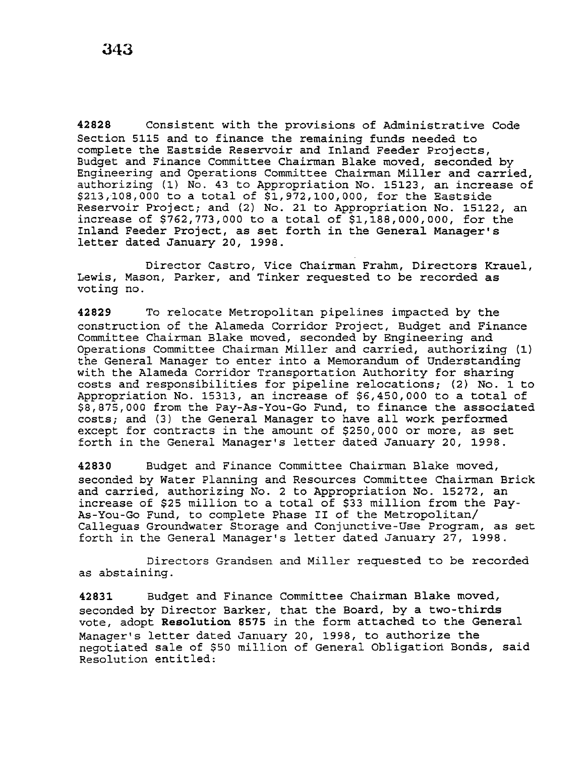42828 Consistent with the provisions of Administrative Code Section 5115 and to finance the remaining funds needed to complete the Eastside Reservoir and Inland Feeder Projects, Budget and Finance Committee Chairman Blake moved, seconded by Engineering and Operations Committee Chairman Miller and carried, authorizing (1) No. 43 to Appropriation No. 15123, an increase of \$213,108,000 to a total of \$1,972,100,000, for the Eastside Reservoir Project; and (2) No. 21 to Appropriation No. 15122, an increase of \$762,773,000 to a total of \$1,188,000,000, for the Inland Feeder Project, as set forth in the General Manager's letter dated January 20, 1998.

Director Castro, Vice Chairman Frahm, Directors Krauel, Lewis, Mason, Parker, and Tinker requested to be recorded as voting no.

42829 To relocate Metropolitan pipelines impacted by the construction of the Alameda Corridor Project, Budget and Finance Committee Chairman Blake moved, seconded by Engineering and Operations Committee Chairman Miller and carried, authorizing (1) the General Manager to enter into a Memorandum of Understanding with the Alameda Corridor Transportation Authority for sharing costs and responsibilities for pipeline relocations; (2) No. 1 to Appropriation No. 15313, an increase of \$6,450,000 to a total of \$8,875,000 from the Pay-As-You-Go Fund, to finance the associated costs; and (3) the General Manager to have all work performed except for contracts in the amount of \$250,000 or more, as set forth in the General Manager's letter dated January 20, 1998.

42830 Budget and Finance Committee Chairman Blake moved, seconded by Water Planning and Resources Committee Chairman Brick and carried, authorizing No. 2 to Appropriation No. 15272, an increase of \$25 million to a total of \$33 million from the Pay-As-You-Go Fund, to complete Phase II of the Metropolitan/ Calleguas Groundwater Storage and Conjunctive-Use Program, as set forth in the General Manager's letter dated January 27, 1998.

Directors Grandsen and Miller requested to be recorded as abstaining.

42831 Budget and Finance Committee Chairman Blake moved, seconded by Director Barker, that the Board, by a two-thirds vote, adopt Resolution 8575 in the form attached to the General Manager's letter dated January 20, 1998, to authorize the negotiated sale of \$50 million of General Obligation Bonds, said Resolution entitled: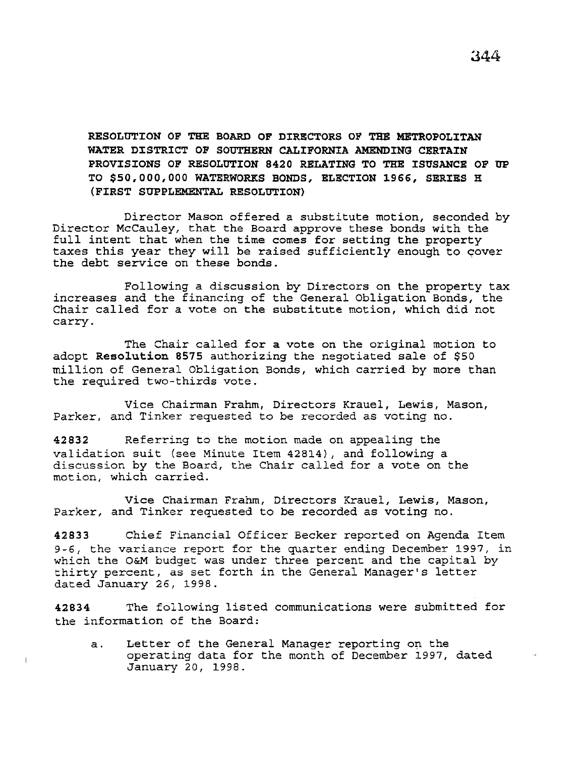RESOLUTION OF THE BOARD OF DIRECTORS OF TEE METROPOLITAN WATER DISTRICT OF SOUTHERN CALIFORNIA AMENDING CERTAIN PROVISIONS OF RESOLUTION 8420 RELATING TO THE ISUSANCE OF UP TO \$50,000,000 WATERWORKS BONDS, ELECTION 1966, SERIES R (FIRST SUPPLEMENTAL RESOLUTION)

Director Mason offered a substitute motion, seconded by Director McCauley, that the Board approve these bonds with the full intent that when the time comes for setting the property taxes this year they will be raised sufficiently enough to cover the debt service on these bonds.

Following a discussion by Directors on the property tax increases and the financing of the General Obligation Bonds, the Chair called for a vote on the substitute motion, which did not carry.

The Chair called for a vote on the original motion to adopt Resolution 8575 authorizing the negotiated sale of \$50 million of General Obligation Bonds, which carried by more than the required two-thirds vote.

Vice Chairman Frahm, Directors Krauel, Lewis, Mason, Parker, and Tinker requested to be recorded as voting no.

42832 Referring to the motion made on appealing the validation suit (see Minute Item 42814), and following a discussion by the Board, the Chair called for a vote on the motion, which carried.

Vice Chairman Frahm, Directors Krauel, Lewis, Mason, Parker, and Tinker requested to be recorded as voting no.

42833 Chief Financial Officer Becker reported on Agenda Item 9-6, the variance report for the quarter ending December 1997, in which the O&M budget was under three percent and the capital by thirty percent, as set forth in the General Manager's letter dated January 26, 1998.

42834 The following listed communications were submitted for the information of the Board:

 $\overline{1}$ 

a. Letter of the General Manager reporting on the operating data for the month of December 1997, dated January 20, 1998.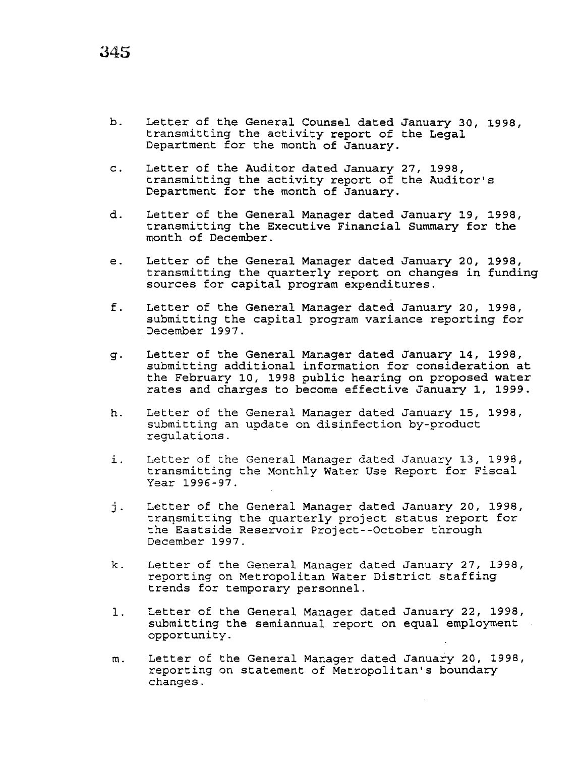- b. Letter of the General Counsel dated January 30, 1998, transmitting the activity report of the Legal Department for the month of January.
- c. Letter of the Auditor dated January 27, 1998, transmitting the activity report of the Auditor's Department for the month of January.
- d. Letter of the General Manager dated January 19, 1998, transmitting the Executive Financial Summary for the month of December.
- e. Letter of the General Manager dated January 20, 1998, transmitting the quarterly report on changes *in* funding sources for capital program expenditures.
- f. Letter of the General Manager dated January 20, 1998, submitting the capital program variance reporting for December 1997.
- q. Letter of the General Manager dated January 14, 1998, submitting additional information for consideration at the February 10, 1998 public hearing on proposed water rates and charges to become effective January 1, 1999.
- h. Letter of the General Manager dated January 15, 1998, submitting an update on disinfection by-product regulations.
- i. Letter of the General Manager dated January 13, 1998, transmitting the Monthly Water Use Report for Fiscal Year 1996-97.
- j. Letter of the General Manager dated January 20, 1998, transmitting the quarterly project status report for the Eastside Reservoir Project--October through December 1997.
- k. Letter of the General Manager dated January 27, 1998, reporting on Metropolitan Water District staffing trends for temporary personnel.
- 1. Letter of the General Manager dated January 22, 1998, submitting the semiannual report on equal employment opportunity.
- m. Letter of the General Manager dated January 20, 1998, reporting on statement of Metropolitan's boundary changes.